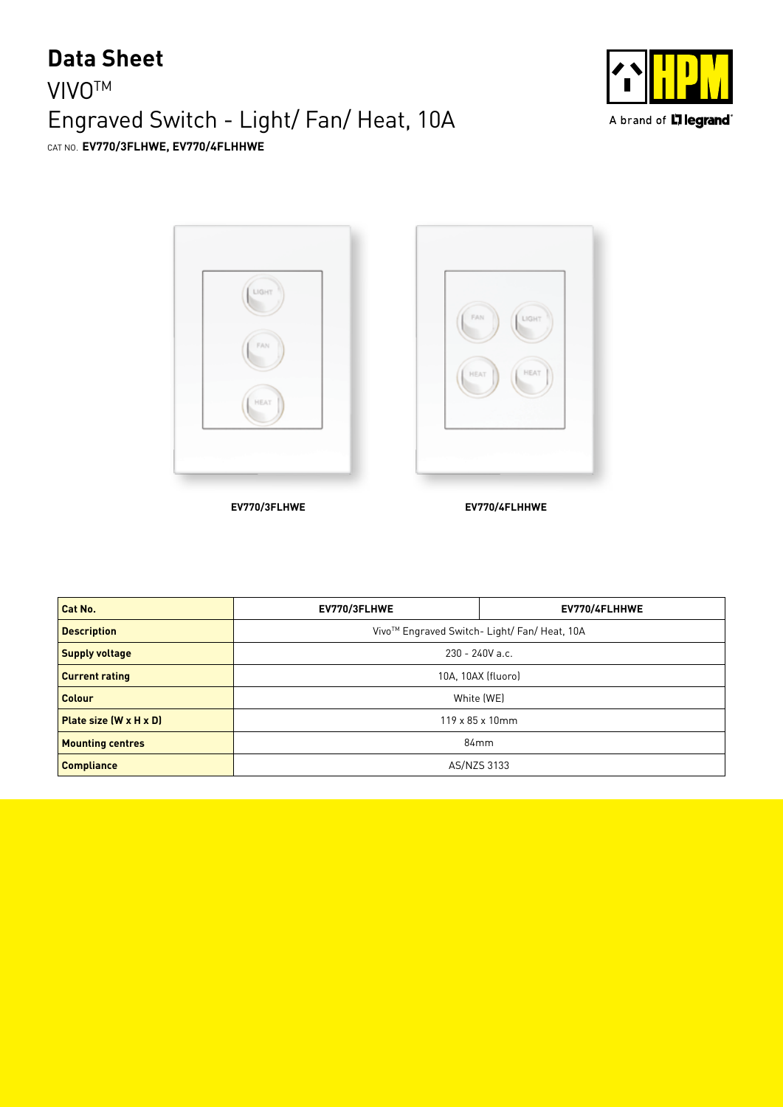## **VIVO<sup>™</sup>** Engraved Switch - Light/ Fan/ Heat, 10A **Data Sheet** CAT NO. **EV770/3FLHWE, EV770/4FLHHWE**





**EV770/3FLHWE EV770/4FLHHWE**

| Cat No.                            | EV770/3FLHWE                                 | EV770/4FLHHWE |  |
|------------------------------------|----------------------------------------------|---------------|--|
| <b>Description</b>                 | Vivo™ Engraved Switch- Light/ Fan/ Heat, 10A |               |  |
| <b>Supply voltage</b>              | $230 - 240V$ a.c.                            |               |  |
| <b>Current rating</b>              | 10A, 10AX (fluoro)                           |               |  |
| <b>Colour</b>                      | White (WE)                                   |               |  |
| Plate size $(W \times H \times D)$ | $119 \times 85 \times 10$ mm                 |               |  |
| <b>Mounting centres</b>            | 84 <sub>mm</sub>                             |               |  |
| <b>Compliance</b>                  | AS/NZS 3133                                  |               |  |